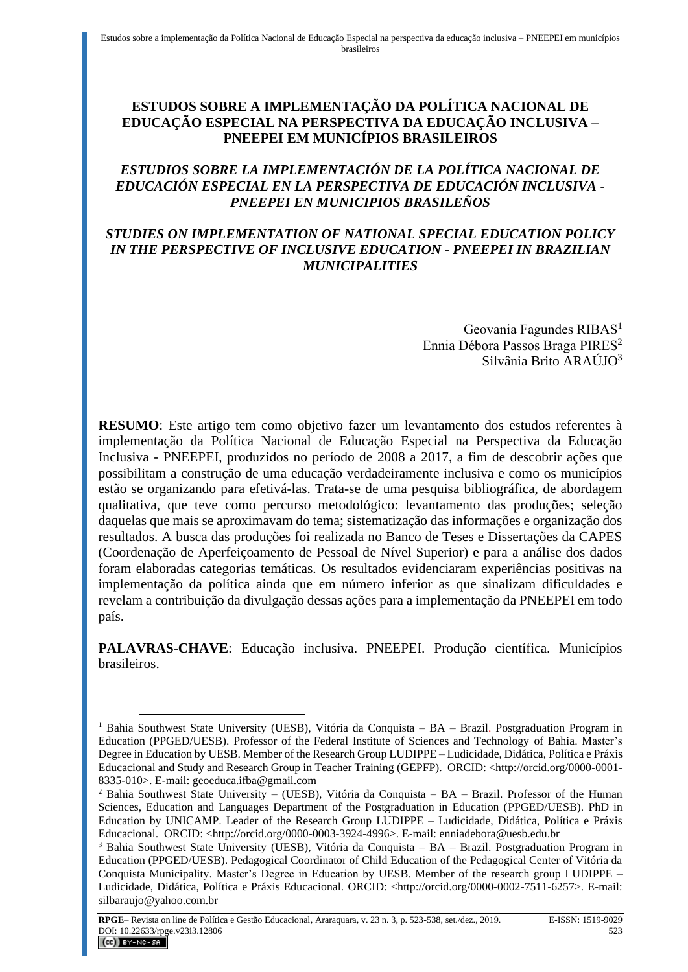## **ESTUDOS SOBRE A IMPLEMENTAÇÃO DA POLÍTICA NACIONAL DE EDUCAÇÃO ESPECIAL NA PERSPECTIVA DA EDUCAÇÃO INCLUSIVA – PNEEPEI EM MUNICÍPIOS BRASILEIROS**

## *ESTUDIOS SOBRE LA IMPLEMENTACIÓN DE LA POLÍTICA NACIONAL DE EDUCACIÓN ESPECIAL EN LA PERSPECTIVA DE EDUCACIÓN INCLUSIVA - PNEEPEI EN MUNICIPIOS BRASILEÑOS*

#### *STUDIES ON IMPLEMENTATION OF NATIONAL SPECIAL EDUCATION POLICY IN THE PERSPECTIVE OF INCLUSIVE EDUCATION - PNEEPEI IN BRAZILIAN MUNICIPALITIES*

Geovania Fagundes RIBAS<sup>1</sup> Ennia Débora Passos Braga PIRES<sup>2</sup> Silvânia Brito ARAÚJO<sup>3</sup>

**RESUMO**: Este artigo tem como objetivo fazer um levantamento dos estudos referentes à implementação da Política Nacional de Educação Especial na Perspectiva da Educação Inclusiva - PNEEPEI, produzidos no período de 2008 a 2017, a fim de descobrir ações que possibilitam a construção de uma educação verdadeiramente inclusiva e como os municípios estão se organizando para efetivá-las. Trata-se de uma pesquisa bibliográfica, de abordagem qualitativa, que teve como percurso metodológico: levantamento das produções; seleção daquelas que mais se aproximavam do tema; sistematização das informações e organização dos resultados. A busca das produções foi realizada no Banco de Teses e Dissertações da CAPES (Coordenação de Aperfeiçoamento de Pessoal de Nível Superior) e para a análise dos dados foram elaboradas categorias temáticas. Os resultados evidenciaram experiências positivas na implementação da política ainda que em número inferior as que sinalizam dificuldades e revelam a contribuição da divulgação dessas ações para a implementação da PNEEPEI em todo país.

**PALAVRAS-CHAVE**: Educação inclusiva. PNEEPEI. Produção científica. Municípios brasileiros.

<sup>&</sup>lt;sup>1</sup> Bahia Southwest State University (UESB), Vitória da Conquista – BA – Brazil. Postgraduation Program in Education (PPGED/UESB). Professor of the Federal Institute of Sciences and Technology of Bahia. Master's Degree in Education by UESB. Member of the Research Group LUDIPPE – Ludicidade, Didática, Política e Práxis Educacional and Study and Research Group in Teacher Training (GEPFP). ORCID: <http://orcid.org/0000-0001- 8335-010>. E-mail[: geoeduca.ifba@gmail.com](mailto:geoeduca.ifba@gmail.com)

 $2$  Bahia Southwest State University – (UESB), Vitória da Conquista – BA – Brazil. Professor of the Human Sciences, Education and Languages Department of the Postgraduation in Education (PPGED/UESB). PhD in Education by UNICAMP. Leader of the Research Group LUDIPPE – Ludicidade, Didática, Política e Práxis Educacional. ORCID: <http://orcid.org/0000-0003-3924-4996>. E-mail: [enniadebora@uesb.edu.br](mailto:enniadebora@uesb.edu.br)

<sup>3</sup> Bahia Southwest State University (UESB), Vitória da Conquista – BA – Brazil. Postgraduation Program in Education (PPGED/UESB). Pedagogical Coordinator of Child Education of the Pedagogical Center of Vitória da Conquista Municipality. Master's Degree in Education by UESB. Member of the research group LUDIPPE – Ludicidade, Didática, Política e Práxis Educacional. ORCID: <http://orcid.org/0000-0002-7511-6257>. E-mail: silbaraujo@yahoo.com.br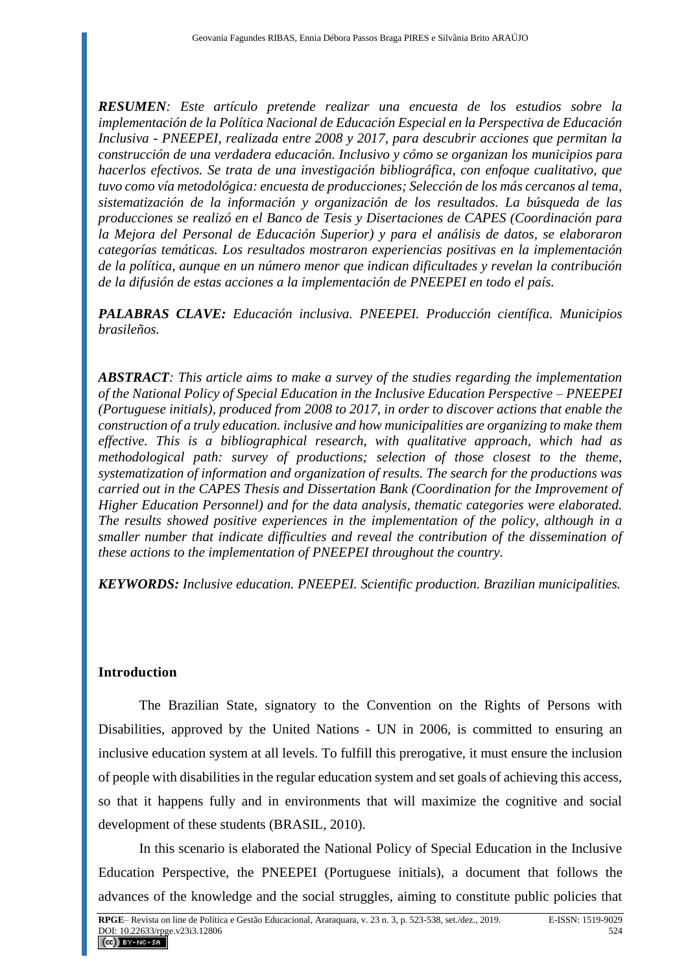*RESUMEN: Este artículo pretende realizar una encuesta de los estudios sobre la implementación de la Política Nacional de Educación Especial en la Perspectiva de Educación Inclusiva - PNEEPEI, realizada entre 2008 y 2017, para descubrir acciones que permitan la construcción de una verdadera educación. Inclusivo y cómo se organizan los municipios para hacerlos efectivos. Se trata de una investigación bibliográfica, con enfoque cualitativo, que tuvo como vía metodológica: encuesta de producciones; Selección de los más cercanos al tema, sistematización de la información y organización de los resultados. La búsqueda de las producciones se realizó en el Banco de Tesis y Disertaciones de CAPES (Coordinación para la Mejora del Personal de Educación Superior) y para el análisis de datos, se elaboraron categorías temáticas. Los resultados mostraron experiencias positivas en la implementación de la política, aunque en un número menor que indican dificultades y revelan la contribución de la difusión de estas acciones a la implementación de PNEEPEI en todo el país.*

*PALABRAS CLAVE: Educación inclusiva. PNEEPEI. Producción científica. Municipios brasileños.*

*ABSTRACT: This article aims to make a survey of the studies regarding the implementation of the National Policy of Special Education in the Inclusive Education Perspective – PNEEPEI (Portuguese initials), produced from 2008 to 2017, in order to discover actions that enable the construction of a truly education. inclusive and how municipalities are organizing to make them effective. This is a bibliographical research, with qualitative approach, which had as methodological path: survey of productions; selection of those closest to the theme, systematization of information and organization of results. The search for the productions was carried out in the CAPES Thesis and Dissertation Bank (Coordination for the Improvement of Higher Education Personnel) and for the data analysis, thematic categories were elaborated. The results showed positive experiences in the implementation of the policy, although in a smaller number that indicate difficulties and reveal the contribution of the dissemination of these actions to the implementation of PNEEPEI throughout the country.*

*KEYWORDS: Inclusive education. PNEEPEI. Scientific production. Brazilian municipalities.* 

# **Introduction**

The Brazilian State, signatory to the Convention on the Rights of Persons with Disabilities, approved by the United Nations - UN in 2006, is committed to ensuring an inclusive education system at all levels. To fulfill this prerogative, it must ensure the inclusion of people with disabilities in the regular education system and set goals of achieving this access, so that it happens fully and in environments that will maximize the cognitive and social development of these students (BRASIL, 2010).

In this scenario is elaborated the National Policy of Special Education in the Inclusive Education Perspective, the PNEEPEI (Portuguese initials), a document that follows the advances of the knowledge and the social struggles, aiming to constitute public policies that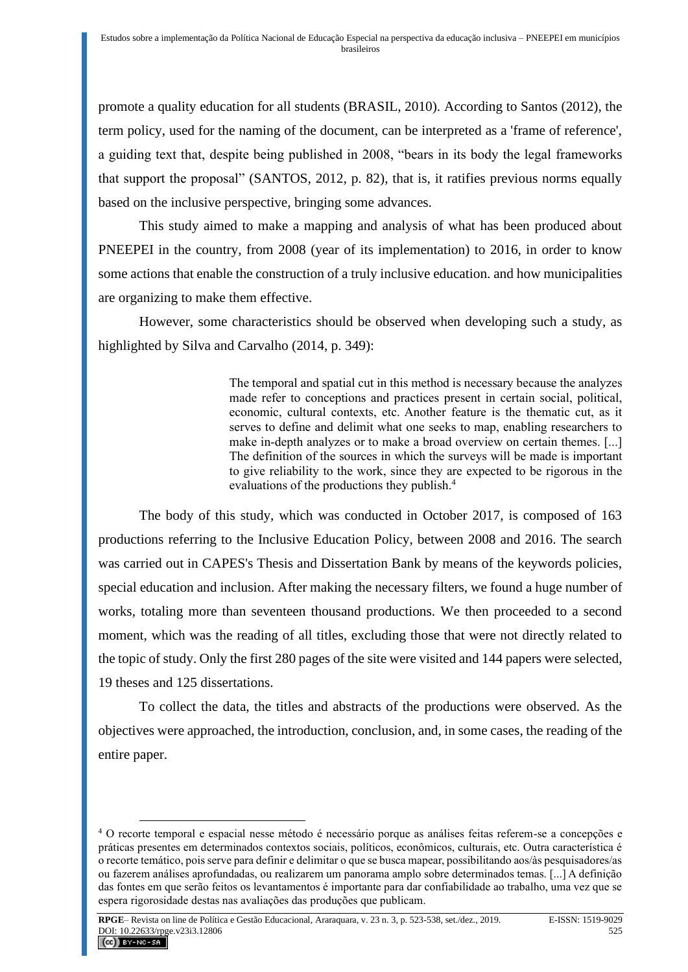promote a quality education for all students (BRASIL, 2010). According to Santos (2012), the term policy, used for the naming of the document, can be interpreted as a 'frame of reference', a guiding text that, despite being published in 2008, "bears in its body the legal frameworks that support the proposal" (SANTOS, 2012, p. 82), that is, it ratifies previous norms equally based on the inclusive perspective, bringing some advances.

This study aimed to make a mapping and analysis of what has been produced about PNEEPEI in the country, from 2008 (year of its implementation) to 2016, in order to know some actions that enable the construction of a truly inclusive education. and how municipalities are organizing to make them effective.

However, some characteristics should be observed when developing such a study, as highlighted by Silva and Carvalho (2014, p. 349):

> The temporal and spatial cut in this method is necessary because the analyzes made refer to conceptions and practices present in certain social, political, economic, cultural contexts, etc. Another feature is the thematic cut, as it serves to define and delimit what one seeks to map, enabling researchers to make in-depth analyzes or to make a broad overview on certain themes. [...] The definition of the sources in which the surveys will be made is important to give reliability to the work, since they are expected to be rigorous in the evaluations of the productions they publish.<sup>4</sup>

The body of this study, which was conducted in October 2017, is composed of 163 productions referring to the Inclusive Education Policy, between 2008 and 2016. The search was carried out in CAPES's Thesis and Dissertation Bank by means of the keywords policies, special education and inclusion. After making the necessary filters, we found a huge number of works, totaling more than seventeen thousand productions. We then proceeded to a second moment, which was the reading of all titles, excluding those that were not directly related to the topic of study. Only the first 280 pages of the site were visited and 144 papers were selected, 19 theses and 125 dissertations.

To collect the data, the titles and abstracts of the productions were observed. As the objectives were approached, the introduction, conclusion, and, in some cases, the reading of the entire paper.

<sup>4</sup> O recorte temporal e espacial nesse método é necessário porque as análises feitas referem-se a concepções e práticas presentes em determinados contextos sociais, políticos, econômicos, culturais, etc. Outra característica é o recorte temático, pois serve para definir e delimitar o que se busca mapear, possibilitando aos/às pesquisadores/as ou fazerem análises aprofundadas, ou realizarem um panorama amplo sobre determinados temas. [...] A definição das fontes em que serão feitos os levantamentos é importante para dar confiabilidade ao trabalho, uma vez que se espera rigorosidade destas nas avaliações das produções que publicam.

**RPGE**– Revista on line de Política e Gestão Educacional, Araraquara, v. 23 n. 3, p. 523-538, set./dez., 2019. E-ISSN: 1519-9029 DOI: 10.22633/rpge.v23i3.12806 525  $(Cc)$  BY-NC-SA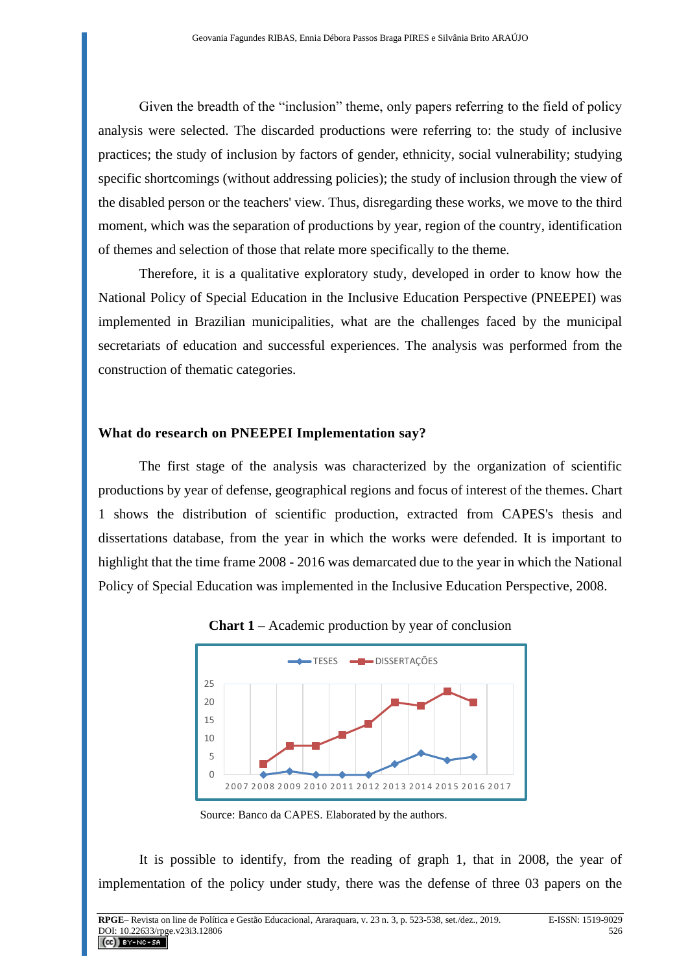Given the breadth of the "inclusion" theme, only papers referring to the field of policy analysis were selected. The discarded productions were referring to: the study of inclusive practices; the study of inclusion by factors of gender, ethnicity, social vulnerability; studying specific shortcomings (without addressing policies); the study of inclusion through the view of the disabled person or the teachers' view. Thus, disregarding these works, we move to the third moment, which was the separation of productions by year, region of the country, identification of themes and selection of those that relate more specifically to the theme.

Therefore, it is a qualitative exploratory study, developed in order to know how the National Policy of Special Education in the Inclusive Education Perspective (PNEEPEI) was implemented in Brazilian municipalities, what are the challenges faced by the municipal secretariats of education and successful experiences. The analysis was performed from the construction of thematic categories.

#### **What do research on PNEEPEI Implementation say?**

The first stage of the analysis was characterized by the organization of scientific productions by year of defense, geographical regions and focus of interest of the themes. Chart 1 shows the distribution of scientific production, extracted from CAPES's thesis and dissertations database, from the year in which the works were defended. It is important to highlight that the time frame 2008 - 2016 was demarcated due to the year in which the National Policy of Special Education was implemented in the Inclusive Education Perspective, 2008.



#### **Chart 1 –** Academic production by year of conclusion

Source: Banco da CAPES. Elaborated by the authors.

It is possible to identify, from the reading of graph 1, that in 2008, the year of implementation of the policy under study, there was the defense of three 03 papers on the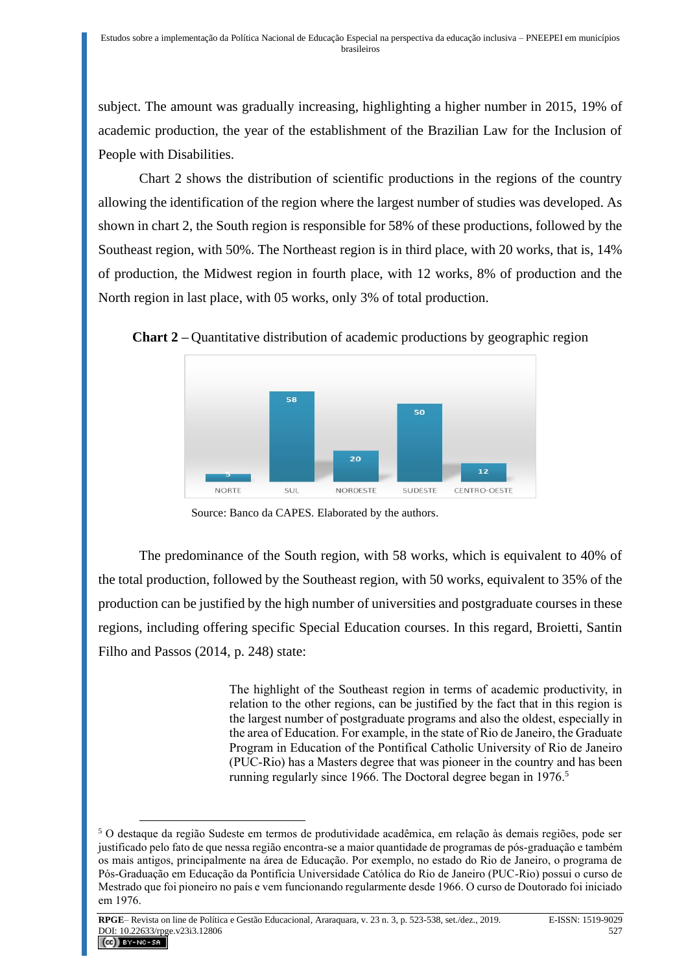subject. The amount was gradually increasing, highlighting a higher number in 2015, 19% of academic production, the year of the establishment of the Brazilian Law for the Inclusion of People with Disabilities.

Chart 2 shows the distribution of scientific productions in the regions of the country allowing the identification of the region where the largest number of studies was developed. As shown in chart 2, the South region is responsible for 58% of these productions, followed by the Southeast region, with 50%. The Northeast region is in third place, with 20 works, that is, 14% of production, the Midwest region in fourth place, with 12 works, 8% of production and the North region in last place, with 05 works, only 3% of total production.





Source: Banco da CAPES. Elaborated by the authors.

The predominance of the South region, with 58 works, which is equivalent to 40% of the total production, followed by the Southeast region, with 50 works, equivalent to 35% of the production can be justified by the high number of universities and postgraduate courses in these regions, including offering specific Special Education courses. In this regard, Broietti, Santin Filho and Passos (2014, p. 248) state:

> The highlight of the Southeast region in terms of academic productivity, in relation to the other regions, can be justified by the fact that in this region is the largest number of postgraduate programs and also the oldest, especially in the area of Education. For example, in the state of Rio de Janeiro, the Graduate Program in Education of the Pontifical Catholic University of Rio de Janeiro (PUC-Rio) has a Masters degree that was pioneer in the country and has been running regularly since 1966. The Doctoral degree began in 1976.<sup>5</sup>

<sup>5</sup> O destaque da região Sudeste em termos de produtividade acadêmica, em relação às demais regiões, pode ser justificado pelo fato de que nessa região encontra-se a maior quantidade de programas de pós-graduação e também os mais antigos, principalmente na área de Educação. Por exemplo, no estado do Rio de Janeiro, o programa de Pós-Graduação em Educação da Pontifícia Universidade Católica do Rio de Janeiro (PUC-Rio) possui o curso de Mestrado que foi pioneiro no país e vem funcionando regularmente desde 1966. O curso de Doutorado foi iniciado em 1976.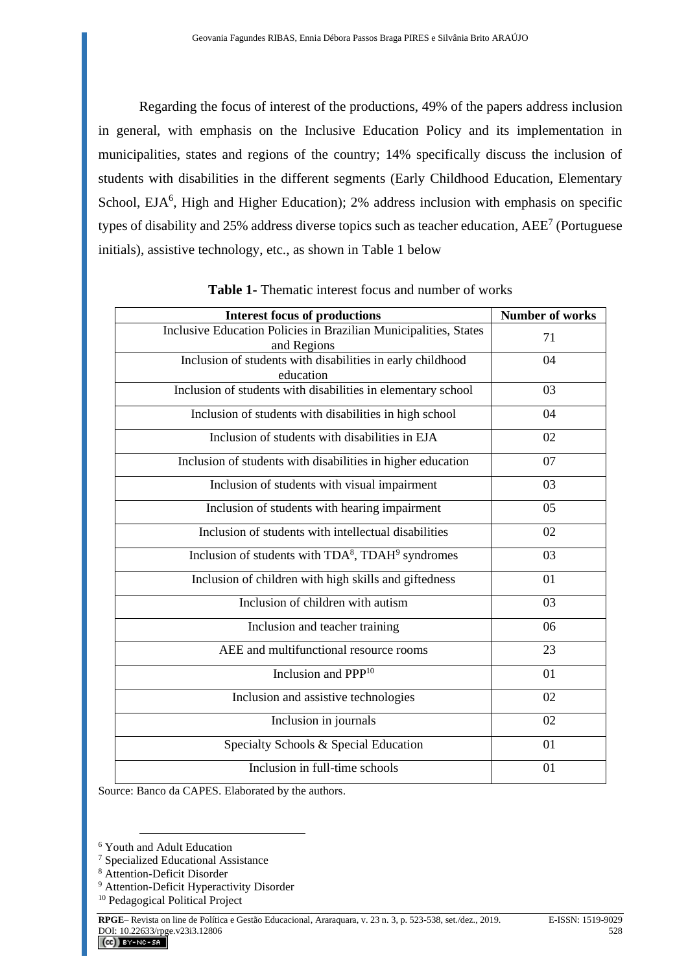Regarding the focus of interest of the productions, 49% of the papers address inclusion in general, with emphasis on the Inclusive Education Policy and its implementation in municipalities, states and regions of the country; 14% specifically discuss the inclusion of students with disabilities in the different segments (Early Childhood Education, Elementary School, EJA<sup>6</sup>, High and Higher Education); 2% address inclusion with emphasis on specific types of disability and 25% address diverse topics such as teacher education,  $AEE<sup>7</sup>$  (Portuguese initials), assistive technology, etc., as shown in Table 1 below

| <b>Interest focus of productions</b>                                            | <b>Number of works</b> |
|---------------------------------------------------------------------------------|------------------------|
| Inclusive Education Policies in Brazilian Municipalities, States<br>and Regions | 71                     |
| Inclusion of students with disabilities in early childhood<br>education         | 04                     |
| Inclusion of students with disabilities in elementary school                    | 03                     |
| Inclusion of students with disabilities in high school                          | 04                     |
| Inclusion of students with disabilities in EJA                                  | 02                     |
| Inclusion of students with disabilities in higher education                     | 07                     |
| Inclusion of students with visual impairment                                    | 03                     |
| Inclusion of students with hearing impairment                                   | 05                     |
| Inclusion of students with intellectual disabilities                            | 02                     |
| Inclusion of students with TDA <sup>8</sup> , TDAH <sup>9</sup> syndromes       | 03                     |
| Inclusion of children with high skills and giftedness                           | 01                     |
| Inclusion of children with autism                                               | 03                     |
| Inclusion and teacher training                                                  | 06                     |
| AEE and multifunctional resource rooms                                          | 23                     |
| Inclusion and PPP <sup>10</sup>                                                 | 01                     |
| Inclusion and assistive technologies                                            | 02                     |
| Inclusion in journals                                                           | 02                     |
| Specialty Schools & Special Education                                           | 01                     |
| Inclusion in full-time schools                                                  | 01                     |

**Table 1-** Thematic interest focus and number of works

Source: Banco da CAPES. Elaborated by the authors.

<sup>6</sup> Youth and Adult Education

<sup>7</sup> Specialized Educational Assistance

<sup>8</sup> Attention-Deficit Disorder

<sup>&</sup>lt;sup>9</sup> Attention-Deficit Hyperactivity Disorder

<sup>10</sup> Pedagogical Political Project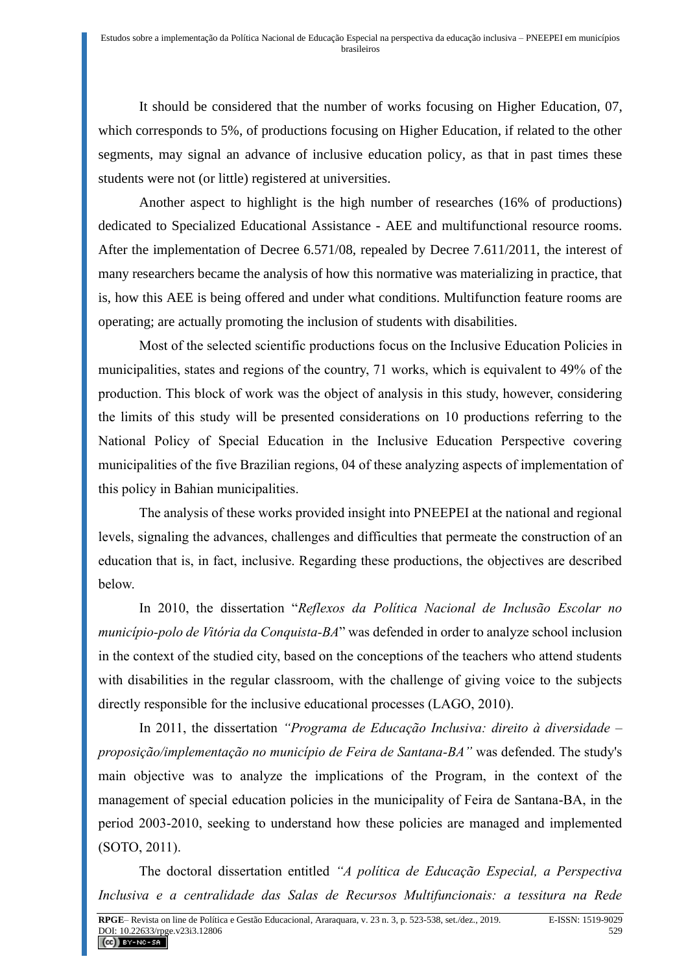It should be considered that the number of works focusing on Higher Education, 07, which corresponds to 5%, of productions focusing on Higher Education, if related to the other segments, may signal an advance of inclusive education policy, as that in past times these students were not (or little) registered at universities.

Another aspect to highlight is the high number of researches (16% of productions) dedicated to Specialized Educational Assistance - AEE and multifunctional resource rooms. After the implementation of Decree 6.571/08, repealed by Decree 7.611/2011, the interest of many researchers became the analysis of how this normative was materializing in practice, that is, how this AEE is being offered and under what conditions. Multifunction feature rooms are operating; are actually promoting the inclusion of students with disabilities.

Most of the selected scientific productions focus on the Inclusive Education Policies in municipalities, states and regions of the country, 71 works, which is equivalent to 49% of the production. This block of work was the object of analysis in this study, however, considering the limits of this study will be presented considerations on 10 productions referring to the National Policy of Special Education in the Inclusive Education Perspective covering municipalities of the five Brazilian regions, 04 of these analyzing aspects of implementation of this policy in Bahian municipalities.

The analysis of these works provided insight into PNEEPEI at the national and regional levels, signaling the advances, challenges and difficulties that permeate the construction of an education that is, in fact, inclusive. Regarding these productions, the objectives are described below.

In 2010, the dissertation "*Reflexos da Política Nacional de Inclusão Escolar no município-polo de Vitória da Conquista-BA*" was defended in order to analyze school inclusion in the context of the studied city, based on the conceptions of the teachers who attend students with disabilities in the regular classroom, with the challenge of giving voice to the subjects directly responsible for the inclusive educational processes (LAGO, 2010).

In 2011, the dissertation *"Programa de Educação Inclusiva: direito à diversidade – proposição/implementação no município de Feira de Santana-BA"* was defended. The study's main objective was to analyze the implications of the Program, in the context of the management of special education policies in the municipality of Feira de Santana-BA, in the period 2003-2010, seeking to understand how these policies are managed and implemented (SOTO, 2011).

The doctoral dissertation entitled *"A política de Educação Especial, a Perspectiva Inclusiva e a centralidade das Salas de Recursos Multifuncionais: a tessitura na Rede*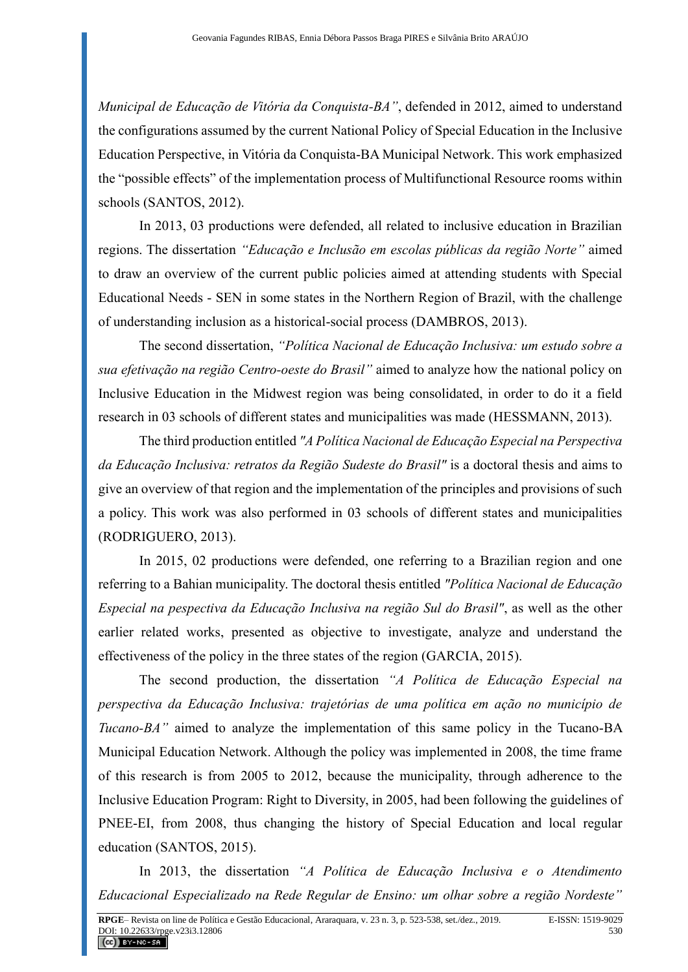*Municipal de Educação de Vitória da Conquista-BA"*, defended in 2012, aimed to understand the configurations assumed by the current National Policy of Special Education in the Inclusive Education Perspective, in Vitória da Conquista-BA Municipal Network. This work emphasized the "possible effects" of the implementation process of Multifunctional Resource rooms within schools (SANTOS, 2012).

In 2013, 03 productions were defended, all related to inclusive education in Brazilian regions. The dissertation *"Educação e Inclusão em escolas públicas da região Norte"* aimed to draw an overview of the current public policies aimed at attending students with Special Educational Needs - SEN in some states in the Northern Region of Brazil, with the challenge of understanding inclusion as a historical-social process (DAMBROS, 2013).

The second dissertation, *"Política Nacional de Educação Inclusiva: um estudo sobre a sua efetivação na região Centro-oeste do Brasil"* aimed to analyze how the national policy on Inclusive Education in the Midwest region was being consolidated, in order to do it a field research in 03 schools of different states and municipalities was made (HESSMANN, 2013).

The third production entitled *"A Política Nacional de Educação Especial na Perspectiva da Educação Inclusiva: retratos da Região Sudeste do Brasil"* is a doctoral thesis and aims to give an overview of that region and the implementation of the principles and provisions of such a policy. This work was also performed in 03 schools of different states and municipalities (RODRIGUERO, 2013).

In 2015, 02 productions were defended, one referring to a Brazilian region and one referring to a Bahian municipality. The doctoral thesis entitled *"Política Nacional de Educação Especial na pespectiva da Educação Inclusiva na região Sul do Brasil"*, as well as the other earlier related works, presented as objective to investigate, analyze and understand the effectiveness of the policy in the three states of the region (GARCIA, 2015).

The second production, the dissertation *"A Política de Educação Especial na perspectiva da Educação Inclusiva: trajetórias de uma política em ação no município de Tucano-BA"* aimed to analyze the implementation of this same policy in the Tucano-BA Municipal Education Network. Although the policy was implemented in 2008, the time frame of this research is from 2005 to 2012, because the municipality, through adherence to the Inclusive Education Program: Right to Diversity, in 2005, had been following the guidelines of PNEE-EI, from 2008, thus changing the history of Special Education and local regular education (SANTOS, 2015).

In 2013, the dissertation *"A Política de Educação Inclusiva e o Atendimento Educacional Especializado na Rede Regular de Ensino: um olhar sobre a região Nordeste"*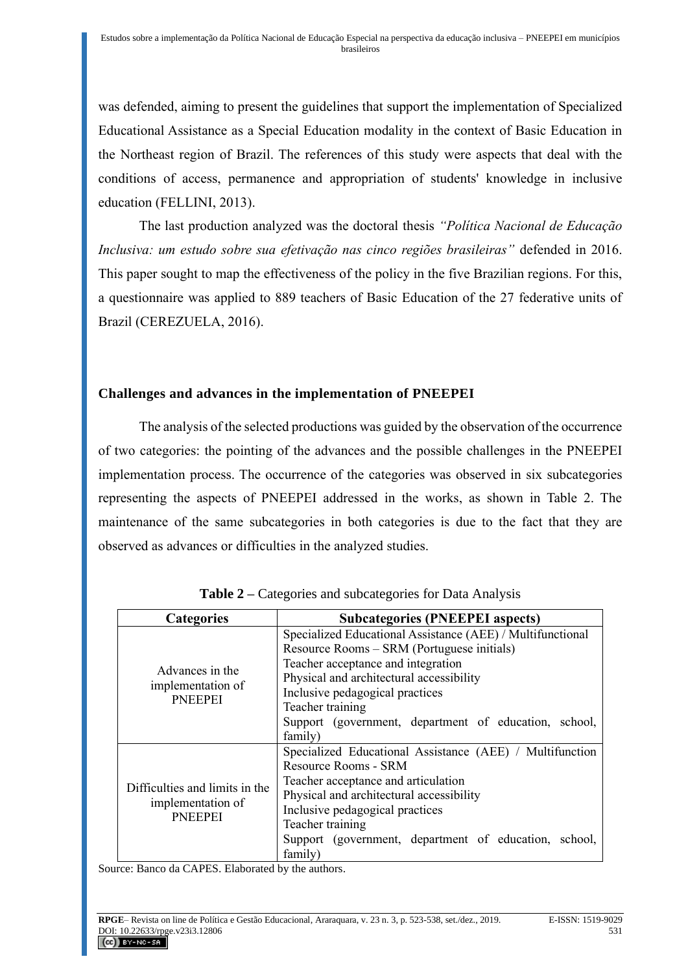was defended, aiming to present the guidelines that support the implementation of Specialized Educational Assistance as a Special Education modality in the context of Basic Education in the Northeast region of Brazil. The references of this study were aspects that deal with the conditions of access, permanence and appropriation of students' knowledge in inclusive education (FELLINI, 2013).

The last production analyzed was the doctoral thesis *"Política Nacional de Educação Inclusiva: um estudo sobre sua efetivação nas cinco regiões brasileiras"* defended in 2016. This paper sought to map the effectiveness of the policy in the five Brazilian regions. For this, a questionnaire was applied to 889 teachers of Basic Education of the 27 federative units of Brazil (CEREZUELA, 2016).

## **Challenges and advances in the implementation of PNEEPEI**

The analysis of the selected productions was guided by the observation of the occurrence of two categories: the pointing of the advances and the possible challenges in the PNEEPEI implementation process. The occurrence of the categories was observed in six subcategories representing the aspects of PNEEPEI addressed in the works, as shown in Table 2. The maintenance of the same subcategories in both categories is due to the fact that they are observed as advances or difficulties in the analyzed studies.

| <b>Categories</b>                                                     | <b>Subcategories (PNEEPEI aspects)</b>                     |
|-----------------------------------------------------------------------|------------------------------------------------------------|
|                                                                       | Specialized Educational Assistance (AEE) / Multifunctional |
| Advances in the<br>implementation of<br><b>PNEEPEI</b>                | Resource Rooms - SRM (Portuguese initials)                 |
|                                                                       | Teacher acceptance and integration                         |
|                                                                       | Physical and architectural accessibility                   |
|                                                                       | Inclusive pedagogical practices                            |
|                                                                       | Teacher training                                           |
|                                                                       | Support (government, department of education, school,      |
|                                                                       | family)                                                    |
|                                                                       | Specialized Educational Assistance (AEE) / Multifunction   |
|                                                                       | Resource Rooms - SRM                                       |
| Difficulties and limits in the<br>implementation of<br><b>PNEEPEI</b> | Teacher acceptance and articulation                        |
|                                                                       | Physical and architectural accessibility                   |
|                                                                       | Inclusive pedagogical practices                            |
|                                                                       | Teacher training                                           |
|                                                                       | Support (government, department of education, school,      |
|                                                                       | family)                                                    |

| <b>Table 2</b> – Categories and subcategories for Data Analysis |  |  |
|-----------------------------------------------------------------|--|--|
|-----------------------------------------------------------------|--|--|

Source: Banco da CAPES. Elaborated by the authors.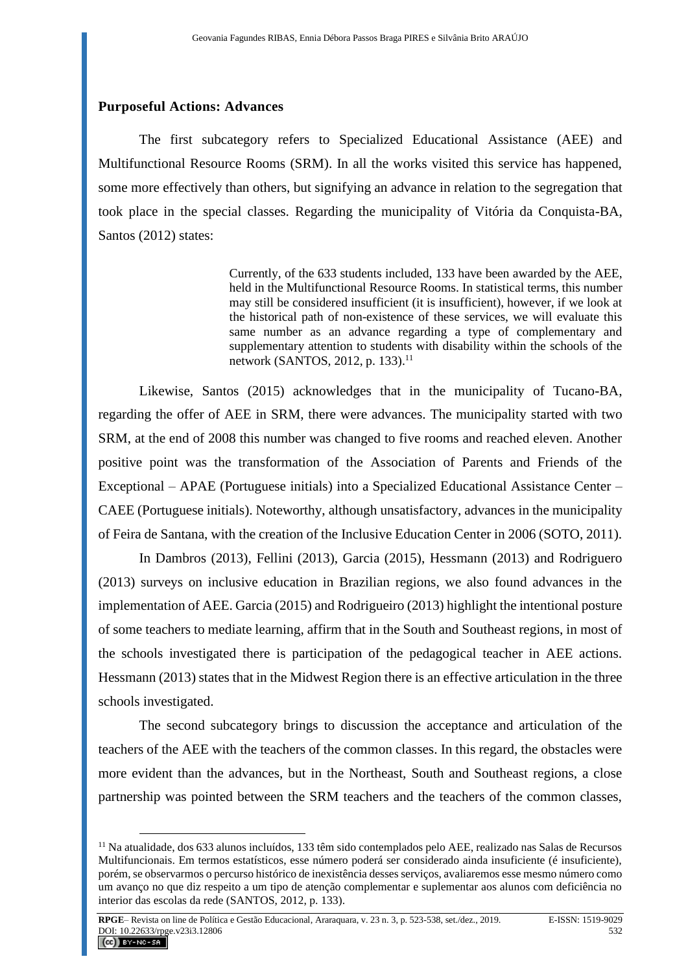#### **Purposeful Actions: Advances**

The first subcategory refers to Specialized Educational Assistance (AEE) and Multifunctional Resource Rooms (SRM). In all the works visited this service has happened, some more effectively than others, but signifying an advance in relation to the segregation that took place in the special classes. Regarding the municipality of Vitória da Conquista-BA, Santos (2012) states:

> Currently, of the 633 students included, 133 have been awarded by the AEE, held in the Multifunctional Resource Rooms. In statistical terms, this number may still be considered insufficient (it is insufficient), however, if we look at the historical path of non-existence of these services, we will evaluate this same number as an advance regarding a type of complementary and supplementary attention to students with disability within the schools of the network (SANTOS, 2012, p. 133).<sup>11</sup>

Likewise, Santos (2015) acknowledges that in the municipality of Tucano-BA, regarding the offer of AEE in SRM, there were advances. The municipality started with two SRM, at the end of 2008 this number was changed to five rooms and reached eleven. Another positive point was the transformation of the Association of Parents and Friends of the Exceptional – APAE (Portuguese initials) into a Specialized Educational Assistance Center – CAEE (Portuguese initials). Noteworthy, although unsatisfactory, advances in the municipality of Feira de Santana, with the creation of the Inclusive Education Center in 2006 (SOTO, 2011).

In Dambros (2013), Fellini (2013), Garcia (2015), Hessmann (2013) and Rodriguero (2013) surveys on inclusive education in Brazilian regions, we also found advances in the implementation of AEE. Garcia (2015) and Rodrigueiro (2013) highlight the intentional posture of some teachers to mediate learning, affirm that in the South and Southeast regions, in most of the schools investigated there is participation of the pedagogical teacher in AEE actions. Hessmann (2013) states that in the Midwest Region there is an effective articulation in the three schools investigated.

The second subcategory brings to discussion the acceptance and articulation of the teachers of the AEE with the teachers of the common classes. In this regard, the obstacles were more evident than the advances, but in the Northeast, South and Southeast regions, a close partnership was pointed between the SRM teachers and the teachers of the common classes,

<sup>11</sup> Na atualidade, dos 633 alunos incluídos, 133 têm sido contemplados pelo AEE, realizado nas Salas de Recursos Multifuncionais. Em termos estatísticos, esse número poderá ser considerado ainda insuficiente (é insuficiente), porém, se observarmos o percurso histórico de inexistência desses serviços, avaliaremos esse mesmo número como um avanço no que diz respeito a um tipo de atenção complementar e suplementar aos alunos com deficiência no interior das escolas da rede (SANTOS, 2012, p. 133).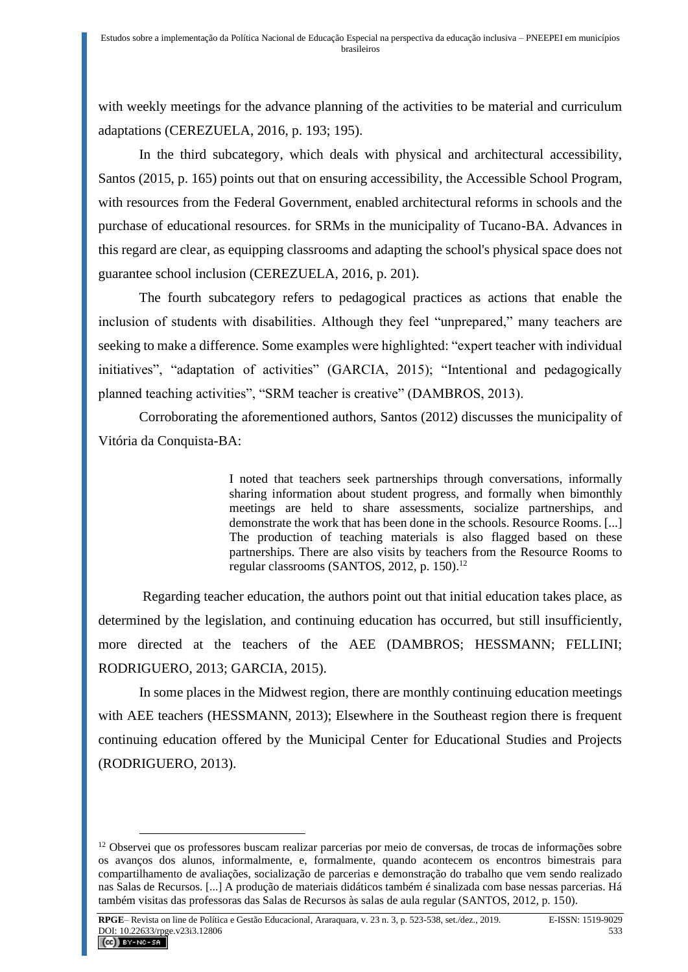with weekly meetings for the advance planning of the activities to be material and curriculum adaptations (CEREZUELA, 2016, p. 193; 195).

In the third subcategory, which deals with physical and architectural accessibility, Santos (2015, p. 165) points out that on ensuring accessibility, the Accessible School Program, with resources from the Federal Government, enabled architectural reforms in schools and the purchase of educational resources. for SRMs in the municipality of Tucano-BA. Advances in this regard are clear, as equipping classrooms and adapting the school's physical space does not guarantee school inclusion (CEREZUELA, 2016, p. 201).

The fourth subcategory refers to pedagogical practices as actions that enable the inclusion of students with disabilities. Although they feel "unprepared," many teachers are seeking to make a difference. Some examples were highlighted: "expert teacher with individual initiatives", "adaptation of activities" (GARCIA, 2015); "Intentional and pedagogically planned teaching activities", "SRM teacher is creative" (DAMBROS, 2013).

Corroborating the aforementioned authors, Santos (2012) discusses the municipality of Vitória da Conquista-BA:

> I noted that teachers seek partnerships through conversations, informally sharing information about student progress, and formally when bimonthly meetings are held to share assessments, socialize partnerships, and demonstrate the work that has been done in the schools. Resource Rooms. [...] The production of teaching materials is also flagged based on these partnerships. There are also visits by teachers from the Resource Rooms to regular classrooms (SANTOS, 2012, p. 150).<sup>12</sup>

Regarding teacher education, the authors point out that initial education takes place, as determined by the legislation, and continuing education has occurred, but still insufficiently, more directed at the teachers of the AEE (DAMBROS; HESSMANN; FELLINI; RODRIGUERO, 2013; GARCIA, 2015).

In some places in the Midwest region, there are monthly continuing education meetings with AEE teachers (HESSMANN, 2013); Elsewhere in the Southeast region there is frequent continuing education offered by the Municipal Center for Educational Studies and Projects (RODRIGUERO, 2013).

<sup>&</sup>lt;sup>12</sup> Observei que os professores buscam realizar parcerias por meio de conversas, de trocas de informações sobre os avanços dos alunos, informalmente, e, formalmente, quando acontecem os encontros bimestrais para compartilhamento de avaliações, socialização de parcerias e demonstração do trabalho que vem sendo realizado nas Salas de Recursos. [...] A produção de materiais didáticos também é sinalizada com base nessas parcerias. Há também visitas das professoras das Salas de Recursos às salas de aula regular (SANTOS, 2012, p. 150).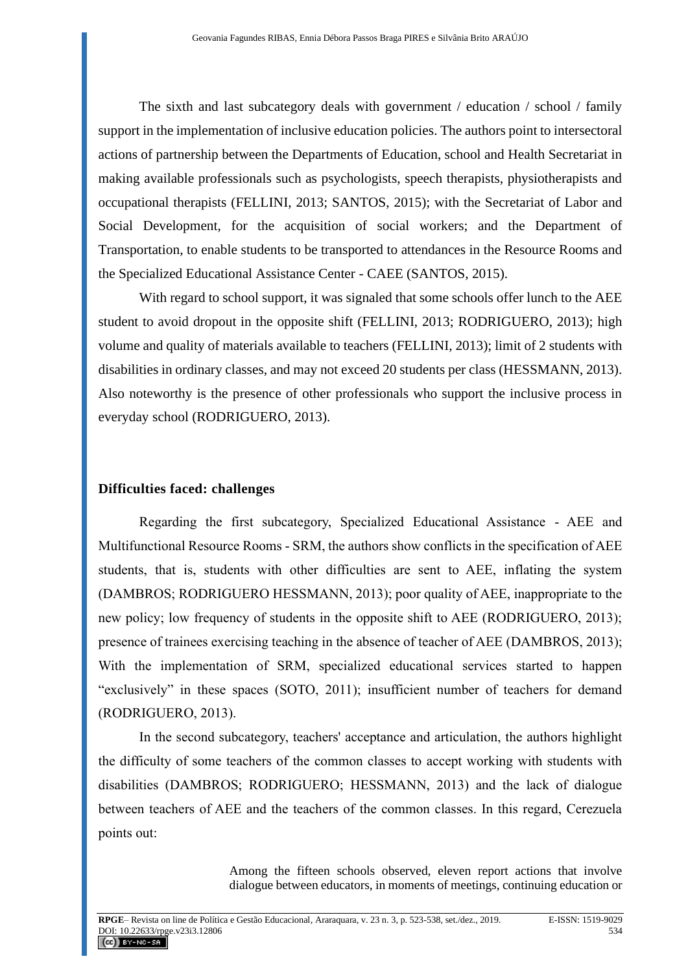The sixth and last subcategory deals with government / education / school / family support in the implementation of inclusive education policies. The authors point to intersectoral actions of partnership between the Departments of Education, school and Health Secretariat in making available professionals such as psychologists, speech therapists, physiotherapists and occupational therapists (FELLINI, 2013; SANTOS, 2015); with the Secretariat of Labor and Social Development, for the acquisition of social workers; and the Department of Transportation, to enable students to be transported to attendances in the Resource Rooms and the Specialized Educational Assistance Center - CAEE (SANTOS, 2015).

With regard to school support, it was signaled that some schools offer lunch to the AEE student to avoid dropout in the opposite shift (FELLINI, 2013; RODRIGUERO, 2013); high volume and quality of materials available to teachers (FELLINI, 2013); limit of 2 students with disabilities in ordinary classes, and may not exceed 20 students per class (HESSMANN, 2013). Also noteworthy is the presence of other professionals who support the inclusive process in everyday school (RODRIGUERO, 2013).

#### **Difficulties faced: challenges**

Regarding the first subcategory, Specialized Educational Assistance - AEE and Multifunctional Resource Rooms - SRM, the authors show conflicts in the specification of AEE students, that is, students with other difficulties are sent to AEE, inflating the system (DAMBROS; RODRIGUERO HESSMANN, 2013); poor quality of AEE, inappropriate to the new policy; low frequency of students in the opposite shift to AEE (RODRIGUERO, 2013); presence of trainees exercising teaching in the absence of teacher of AEE (DAMBROS, 2013); With the implementation of SRM, specialized educational services started to happen "exclusively" in these spaces (SOTO, 2011); insufficient number of teachers for demand (RODRIGUERO, 2013).

In the second subcategory, teachers' acceptance and articulation, the authors highlight the difficulty of some teachers of the common classes to accept working with students with disabilities (DAMBROS; RODRIGUERO; HESSMANN, 2013) and the lack of dialogue between teachers of AEE and the teachers of the common classes. In this regard, Cerezuela points out:

> Among the fifteen schools observed, eleven report actions that involve dialogue between educators, in moments of meetings, continuing education or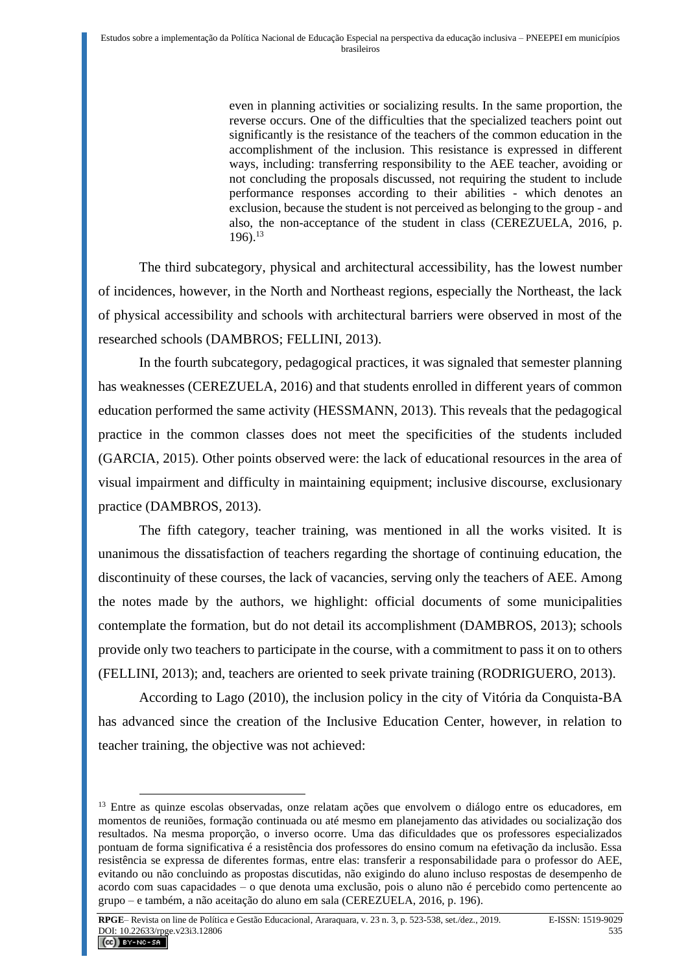even in planning activities or socializing results. In the same proportion, the reverse occurs. One of the difficulties that the specialized teachers point out significantly is the resistance of the teachers of the common education in the accomplishment of the inclusion. This resistance is expressed in different ways, including: transferring responsibility to the AEE teacher, avoiding or not concluding the proposals discussed, not requiring the student to include performance responses according to their abilities - which denotes an exclusion, because the student is not perceived as belonging to the group - and also, the non-acceptance of the student in class (CEREZUELA, 2016, p.  $196$ ) $13$ 

The third subcategory, physical and architectural accessibility, has the lowest number of incidences, however, in the North and Northeast regions, especially the Northeast, the lack of physical accessibility and schools with architectural barriers were observed in most of the researched schools (DAMBROS; FELLINI, 2013).

In the fourth subcategory, pedagogical practices, it was signaled that semester planning has weaknesses (CEREZUELA, 2016) and that students enrolled in different years of common education performed the same activity (HESSMANN, 2013). This reveals that the pedagogical practice in the common classes does not meet the specificities of the students included (GARCIA, 2015). Other points observed were: the lack of educational resources in the area of visual impairment and difficulty in maintaining equipment; inclusive discourse, exclusionary practice (DAMBROS, 2013).

The fifth category, teacher training, was mentioned in all the works visited. It is unanimous the dissatisfaction of teachers regarding the shortage of continuing education, the discontinuity of these courses, the lack of vacancies, serving only the teachers of AEE. Among the notes made by the authors, we highlight: official documents of some municipalities contemplate the formation, but do not detail its accomplishment (DAMBROS, 2013); schools provide only two teachers to participate in the course, with a commitment to pass it on to others (FELLINI, 2013); and, teachers are oriented to seek private training (RODRIGUERO, 2013).

According to Lago (2010), the inclusion policy in the city of Vitória da Conquista-BA has advanced since the creation of the Inclusive Education Center, however, in relation to teacher training, the objective was not achieved:

<sup>&</sup>lt;sup>13</sup> Entre as quinze escolas observadas, onze relatam ações que envolvem o diálogo entre os educadores, em momentos de reuniões, formação continuada ou até mesmo em planejamento das atividades ou socialização dos resultados. Na mesma proporção, o inverso ocorre. Uma das dificuldades que os professores especializados pontuam de forma significativa é a resistência dos professores do ensino comum na efetivação da inclusão. Essa resistência se expressa de diferentes formas, entre elas: transferir a responsabilidade para o professor do AEE, evitando ou não concluindo as propostas discutidas, não exigindo do aluno incluso respostas de desempenho de acordo com suas capacidades – o que denota uma exclusão, pois o aluno não é percebido como pertencente ao grupo – e também, a não aceitação do aluno em sala (CEREZUELA, 2016, p. 196).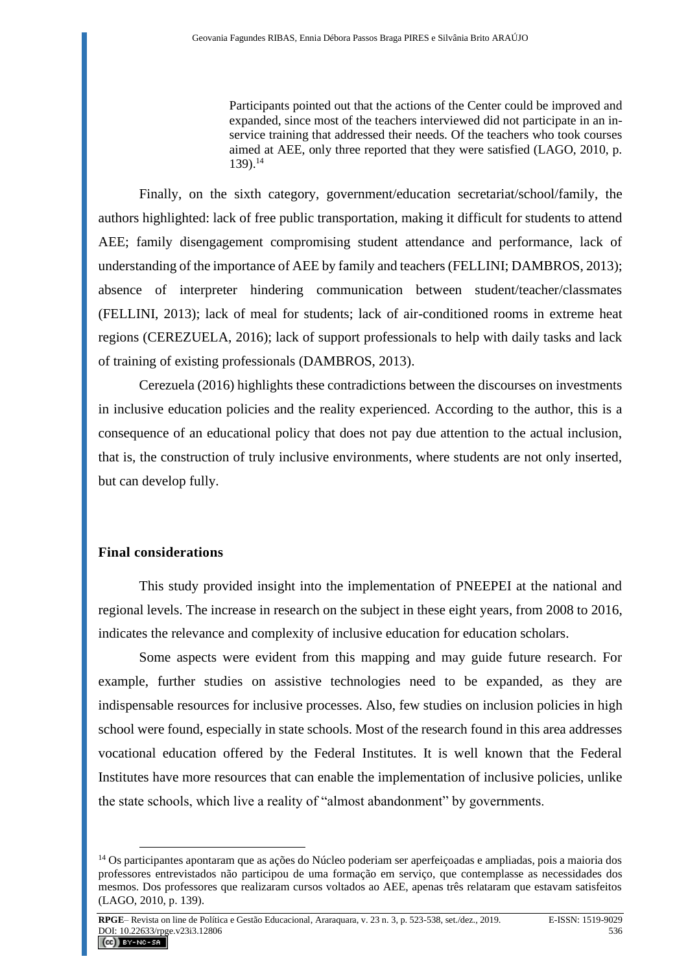Participants pointed out that the actions of the Center could be improved and expanded, since most of the teachers interviewed did not participate in an inservice training that addressed their needs. Of the teachers who took courses aimed at AEE, only three reported that they were satisfied (LAGO, 2010, p. 139).<sup>14</sup>

Finally, on the sixth category, government/education secretariat/school/family, the authors highlighted: lack of free public transportation, making it difficult for students to attend AEE; family disengagement compromising student attendance and performance, lack of understanding of the importance of AEE by family and teachers (FELLINI; DAMBROS, 2013); absence of interpreter hindering communication between student/teacher/classmates (FELLINI, 2013); lack of meal for students; lack of air-conditioned rooms in extreme heat regions (CEREZUELA, 2016); lack of support professionals to help with daily tasks and lack of training of existing professionals (DAMBROS, 2013).

Cerezuela (2016) highlights these contradictions between the discourses on investments in inclusive education policies and the reality experienced. According to the author, this is a consequence of an educational policy that does not pay due attention to the actual inclusion, that is, the construction of truly inclusive environments, where students are not only inserted, but can develop fully.

# **Final considerations**

This study provided insight into the implementation of PNEEPEI at the national and regional levels. The increase in research on the subject in these eight years, from 2008 to 2016, indicates the relevance and complexity of inclusive education for education scholars.

Some aspects were evident from this mapping and may guide future research. For example, further studies on assistive technologies need to be expanded, as they are indispensable resources for inclusive processes. Also, few studies on inclusion policies in high school were found, especially in state schools. Most of the research found in this area addresses vocational education offered by the Federal Institutes. It is well known that the Federal Institutes have more resources that can enable the implementation of inclusive policies, unlike the state schools, which live a reality of "almost abandonment" by governments.

<sup>14</sup> Os participantes apontaram que as ações do Núcleo poderiam ser aperfeiçoadas e ampliadas, pois a maioria dos professores entrevistados não participou de uma formação em serviço, que contemplasse as necessidades dos mesmos. Dos professores que realizaram cursos voltados ao AEE, apenas três relataram que estavam satisfeitos (LAGO, 2010, p. 139).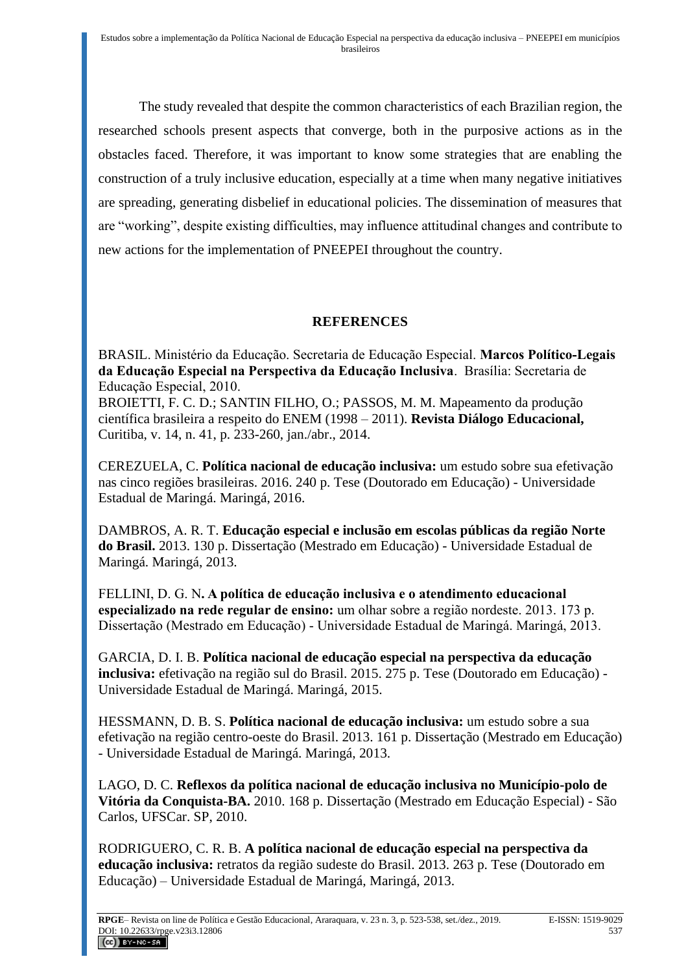The study revealed that despite the common characteristics of each Brazilian region, the researched schools present aspects that converge, both in the purposive actions as in the obstacles faced. Therefore, it was important to know some strategies that are enabling the construction of a truly inclusive education, especially at a time when many negative initiatives are spreading, generating disbelief in educational policies. The dissemination of measures that are "working", despite existing difficulties, may influence attitudinal changes and contribute to new actions for the implementation of PNEEPEI throughout the country.

## **REFERENCES**

BRASIL. Ministério da Educação. Secretaria de Educação Especial. **Marcos Político-Legais da Educação Especial na Perspectiva da Educação Inclusiva**. Brasília: Secretaria de Educação Especial, 2010.

BROIETTI, F. C. D.; SANTIN FILHO, O.; PASSOS, M. M. Mapeamento da produção científica brasileira a respeito do ENEM (1998 – 2011). **Revista Diálogo Educacional,** Curitiba, v. 14, n. 41, p. 233-260, jan./abr., 2014.

CEREZUELA, C. **Política nacional de educação inclusiva:** um estudo sobre sua efetivação nas cinco regiões brasileiras. 2016. 240 p. Tese (Doutorado em Educação) - Universidade Estadual de Maringá. Maringá, 2016.

DAMBROS, A. R. T. **Educação especial e inclusão em escolas públicas da região Norte do Brasil.** 2013. 130 p. Dissertação (Mestrado em Educação) - Universidade Estadual de Maringá. Maringá, 2013.

FELLINI, D. G. N**. A política de educação inclusiva e o atendimento educacional especializado na rede regular de ensino:** um olhar sobre a região nordeste. 2013. 173 p. Dissertação (Mestrado em Educação) - Universidade Estadual de Maringá. Maringá, 2013.

GARCIA, D. I. B. **Política nacional de educação especial na perspectiva da educação inclusiva:** efetivação na região sul do Brasil. 2015. 275 p. Tese (Doutorado em Educação) - Universidade Estadual de Maringá. Maringá, 2015.

HESSMANN, D. B. S. **Política nacional de educação inclusiva:** um estudo sobre a sua efetivação na região centro-oeste do Brasil. 2013. 161 p. Dissertação (Mestrado em Educação) - Universidade Estadual de Maringá. Maringá, 2013.

LAGO, D. C. **Reflexos da política nacional de educação inclusiva no Município-polo de Vitória da Conquista-BA.** 2010. 168 p. Dissertação (Mestrado em Educação Especial) - São Carlos, UFSCar. SP, 2010.

RODRIGUERO, C. R. B. **A política nacional de educação especial na perspectiva da educação inclusiva:** retratos da região sudeste do Brasil. 2013. 263 p. Tese (Doutorado em Educação) – Universidade Estadual de Maringá, Maringá, 2013.